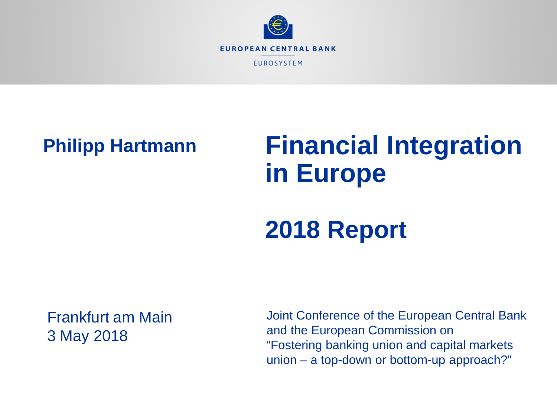

#### **Philipp Hartmann**

# **Financial Integration in Europe**

# **2018 Report**

#### Frankfurt am Main 3 May 2018

Joint Conference of the European Central Bank and the European Commission on "Fostering banking union and capital markets union – a top-down or bottom-up approach?"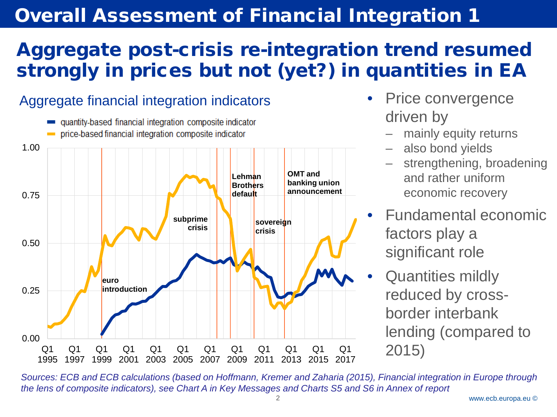#### **Overall Assessment of Financial Integration 1**

## Aggregate post-crisis re-integration trend resumed strongly in prices but not (yet?) in quantities in EA

#### quantity-based financial integration composite indicator price-based financial integration composite indicator 1.00 **OMT and Lehman banking union Brothers announcement default** 0.75 **subprime sovereign crisis crisis** 0.50 **euro introduction**0.25 0.00  $O<sub>1</sub>$  $O<sub>1</sub>$  $O<sub>1</sub>$  $O<sub>1</sub>$  $O<sub>1</sub>$  $O<sub>1</sub>$  $O<sub>1</sub>$  $O<sub>1</sub>$  $O<sub>1</sub>$  $O<sub>1</sub>$  $O<sub>1</sub>$  $O<sub>1</sub>$ 1999 2001 2003 1995 1997 2005 2007 2009 2011 2013 2015 2017

Aggregate financial integration indicators

- Price convergence driven by
	- mainly equity returns
	- also bond yields
	- strengthening, broadening and rather uniform economic recovery
	- Fundamental economic factors play a significant role
- Quantities mildly reduced by crossborder interbank lending (compared to 2015)

*Sources: ECB and ECB calculations (based on Hoffmann, Kremer and Zaharia (2015), Financial integration in Europe through the lens of composite indicators), see Chart A in Key Messages and Charts S5 and S6 in Annex of report*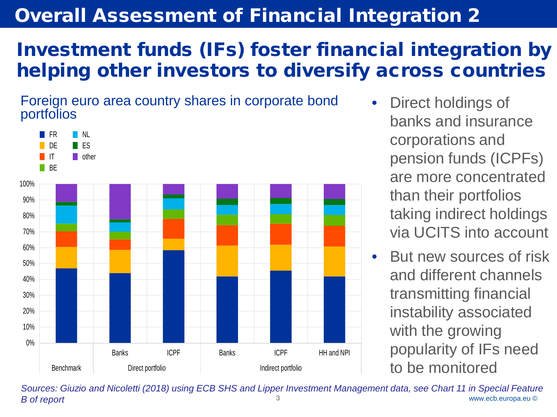#### **Overall Assessment of Financial Integration 2**

## Investment funds (IFs) foster financial integration by helping other investors to diversify across countries

Foreign euro area country shares in corporate bond portfolios



- Direct holdings of banks and insurance corporations and pension funds (ICPFs) are more concentrated than their portfolios taking indirect holdings via UCITS into account
- But new sources of risk and different channels transmitting financial instability associated with the growing popularity of IFs need to be monitored

www.ecb.europa.eu © 3 *Sources: Giuzio and Nicoletti (2018) using ECB SHS and Lipper Investment Management data, see Chart 11 in Special Feature B of report*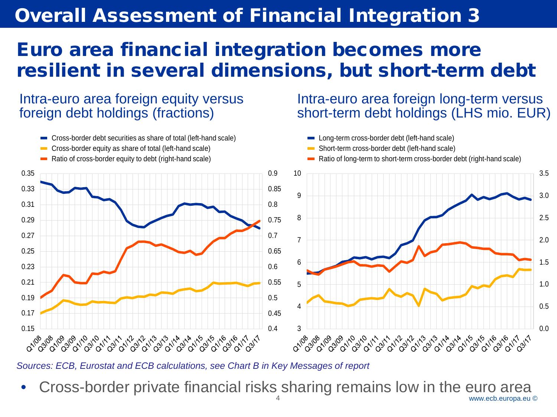#### **Overall Assessment of Financial Integration 3**

#### Euro area financial integration becomes more resilient in several dimensions, but short-term debt

Intra-euro area foreign equity versus foreign debt holdings (fractions)



- Cross-border equity as share of total (left-hand scale)
- Ratio of cross-border equity to debt (right-hand scale)

0.15 0.17

0.19 0.21

0.23

0.25 0.27

0.29 0.31

0.33 0.35

#### Intra-euro area foreign long-term versus short-term debt holdings (LHS mio. EUR)



*Sources: ECB, Eurostat and ECB calculations, see Chart B in Key Messages of report* 

03 04 09 04 09 04 09 04 09 04 09 04 09 04 09 04 09 04 04 04 09 04 09 04 09 04 04 09 04 09 04 09 04 09 04 09 04<br>08 108 109 110 110 110 111 111 111 111 112 113 114 114 115 115 116 116 117 111

www.ecb.europa.eu © • Cross-border private financial risks sharing remains low in the euro area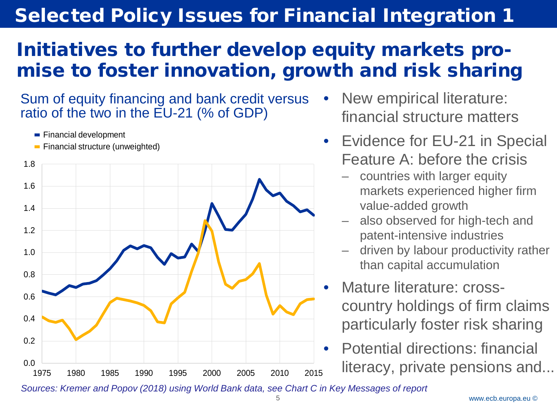## Initiatives to further develop equity markets promise to foster innovation, growth and risk sharing

Sum of equity financing and bank credit versus ratio of the two in the EU-21 (% of GDP)

**Financial development** 



**Financial structure (unweighted)** 

- New empirical literature: financial structure matters
- Evidence for EU-21 in Special Feature A: before the crisis
	- countries with larger equity markets experienced higher firm value-added growth
	- also observed for high-tech and patent-intensive industries
	- driven by labour productivity rather than capital accumulation
- Mature literature: crosscountry holdings of firm claims particularly foster risk sharing
- Potential directions: financial literacy, private pensions and...

*Sources: Kremer and Popov (2018) using World Bank data, see Chart C in Key Messages of report*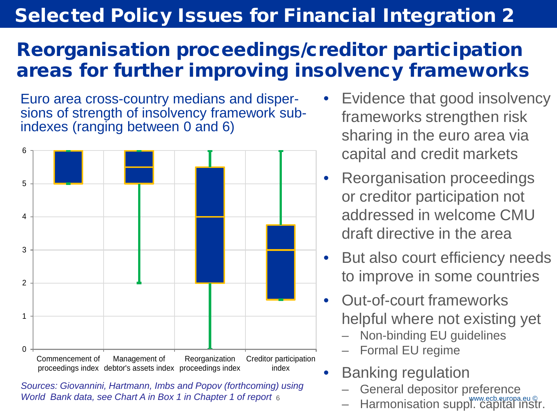## Reorganisation proceedings/creditor participation areas for further improving insolvency frameworks

Euro area cross-country medians and dispersions of strength of insolvency framework subindexes (ranging between 0 and 6)



*World Bank data, see Chart A in Box 1 in Chapter 1 of report 6 Sources: Giovannini, Hartmann, Imbs and Popov (forthcoming) using* 

- Evidence that good insolvency frameworks strengthen risk sharing in the euro area via capital and credit markets
- Reorganisation proceedings or creditor participation not addressed in welcome CMU draft directive in the area
- But also court efficiency needs to improve in some countries
- Out-of-court frameworks helpful where not existing yet
	- Non-binding EU guidelines
	- Formal EU regime
- Banking regulation
	- General depositor preference
	- Harmonisation suppl. capital instr.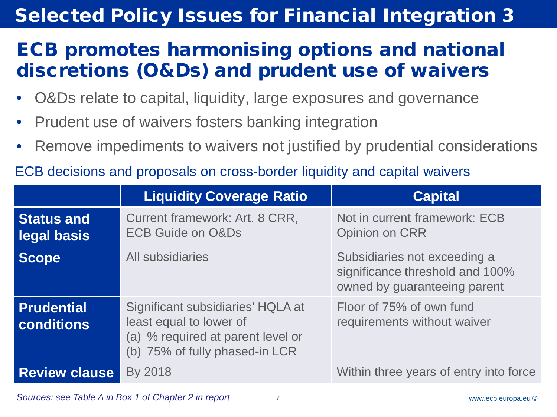## ECB promotes harmonising options and national discretions (O&Ds) and prudent use of waivers

- O&Ds relate to capital, liquidity, large exposures and governance
- Prudent use of waivers fosters banking integration
- Remove impediments to waivers not justified by prudential considerations
- ECB decisions and proposals on cross-border liquidity and capital waivers

|                                  | <b>Liquidity Coverage Ratio</b>                                                                                                     | <b>Capital</b>                                                                                  |
|----------------------------------|-------------------------------------------------------------------------------------------------------------------------------------|-------------------------------------------------------------------------------------------------|
| <b>Status and</b><br>legal basis | Current framework: Art. 8 CRR,<br><b>ECB Guide on O&amp;Ds</b>                                                                      | Not in current framework: ECB<br><b>Opinion on CRR</b>                                          |
| <b>Scope</b>                     | All subsidiaries                                                                                                                    | Subsidiaries not exceeding a<br>significance threshold and 100%<br>owned by guaranteeing parent |
| <b>Prudential</b><br>conditions  | Significant subsidiaries' HQLA at<br>least equal to lower of<br>(a) % required at parent level or<br>(b) 75% of fully phased-in LCR | Floor of 75% of own fund<br>requirements without waiver                                         |
| <b>Review clause</b>             | By 2018                                                                                                                             | Within three years of entry into force                                                          |